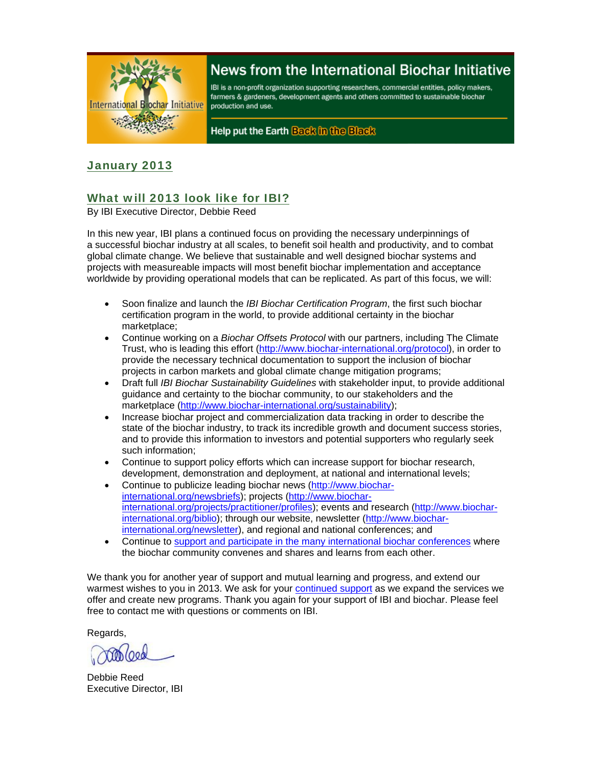

# News from the International Biochar Initiative

IBI is a non-profit organization supporting researchers, commercial entities, policy makers, farmers & gardeners, development agents and others committed to sustainable biochar production and use.

Help put the Earth Back in the Black

### January 2013

# What will 2013 look like for IBI?

By IBI Executive Director, Debbie Reed

In this new year, IBI plans a continued focus on providing the necessary underpinnings of a successful biochar industry at all scales, to benefit soil health and productivity, and to combat global climate change. We believe that sustainable and well designed biochar systems and projects with measureable impacts will most benefit biochar implementation and acceptance worldwide by providing operational models that can be replicated. As part of this focus, we will:

- Soon finalize and launch the *IBI Biochar Certification Program*, the first such biochar certification program in the world, to provide additional certainty in the biochar marketplace;
- Continue working on a *Biochar Offsets Protocol* with our partners, including The Climate Trust, who is leading this effort (http://www.biochar-international.org/protocol), in order to provide the necessary technical documentation to support the inclusion of biochar projects in carbon markets and global climate change mitigation programs;
- Draft full *IBI Biochar Sustainability Guidelines* with stakeholder input, to provide additional guidance and certainty to the biochar community, to our stakeholders and the marketplace (http://www.biochar-international.org/sustainability);
- Increase biochar project and commercialization data tracking in order to describe the state of the biochar industry, to track its incredible growth and document success stories, and to provide this information to investors and potential supporters who regularly seek such information;
- Continue to support policy efforts which can increase support for biochar research, development, demonstration and deployment, at national and international levels;
- Continue to publicize leading biochar news (http://www.biocharinternational.org/newsbriefs); projects (http://www.biocharinternational.org/projects/practitioner/profiles); events and research (http://www.biocharinternational.org/biblio); through our website, newsletter (http://www.biocharinternational.org/newsletter), and regional and national conferences; and
- Continue to support and participate in the many international biochar conferences where the biochar community convenes and shares and learns from each other.

We thank you for another year of support and mutual learning and progress, and extend our warmest wishes to you in 2013. We ask for your continued support as we expand the services we offer and create new programs. Thank you again for your support of IBI and biochar. Please feel free to contact me with questions or comments on IBI.

Regards,

Debbie Reed Executive Director, IBI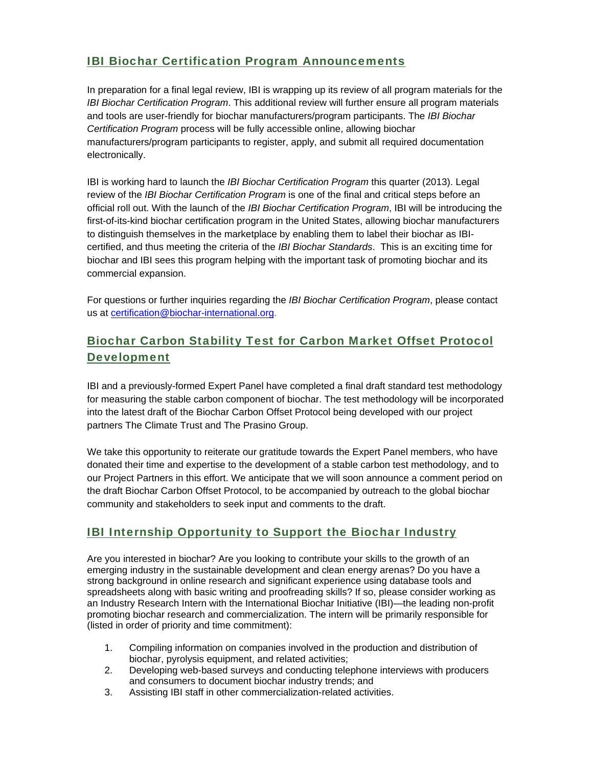# IBI Biochar Certification Program Announcements

In preparation for a final legal review, IBI is wrapping up its review of all program materials for the *IBI Biochar Certification Program*. This additional review will further ensure all program materials and tools are user-friendly for biochar manufacturers/program participants. The *IBI Biochar Certification Program* process will be fully accessible online, allowing biochar manufacturers/program participants to register, apply, and submit all required documentation electronically.

IBI is working hard to launch the *IBI Biochar Certification Program* this quarter (2013). Legal review of the *IBI Biochar Certification Program* is one of the final and critical steps before an official roll out. With the launch of the *IBI Biochar Certification Program*, IBI will be introducing the first-of-its-kind biochar certification program in the United States, allowing biochar manufacturers to distinguish themselves in the marketplace by enabling them to label their biochar as IBIcertified, and thus meeting the criteria of the *IBI Biochar Standards*. This is an exciting time for biochar and IBI sees this program helping with the important task of promoting biochar and its commercial expansion.

For questions or further inquiries regarding the *IBI Biochar Certification Program*, please contact us at certification@biochar-international.org.

# Biochar Carbon Stability Test for Carbon Market Offset Protocol Development

IBI and a previously-formed Expert Panel have completed a final draft standard test methodology for measuring the stable carbon component of biochar. The test methodology will be incorporated into the latest draft of the Biochar Carbon Offset Protocol being developed with our project partners The Climate Trust and The Prasino Group.

We take this opportunity to reiterate our gratitude towards the Expert Panel members, who have donated their time and expertise to the development of a stable carbon test methodology, and to our Project Partners in this effort. We anticipate that we will soon announce a comment period on the draft Biochar Carbon Offset Protocol, to be accompanied by outreach to the global biochar community and stakeholders to seek input and comments to the draft.

# IBI Internship Opportunity to Support the Biochar Industry

Are you interested in biochar? Are you looking to contribute your skills to the growth of an emerging industry in the sustainable development and clean energy arenas? Do you have a strong background in online research and significant experience using database tools and spreadsheets along with basic writing and proofreading skills? If so, please consider working as an Industry Research Intern with the International Biochar Initiative (IBI)—the leading non-profit promoting biochar research and commercialization. The intern will be primarily responsible for (listed in order of priority and time commitment):

- 1. Compiling information on companies involved in the production and distribution of biochar, pyrolysis equipment, and related activities;
- 2. Developing web-based surveys and conducting telephone interviews with producers and consumers to document biochar industry trends; and
- 3. Assisting IBI staff in other commercialization-related activities.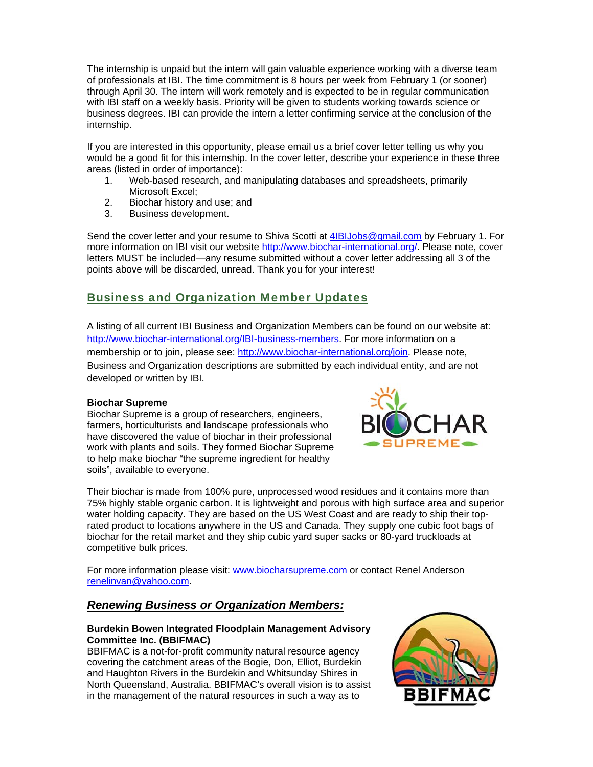The internship is unpaid but the intern will gain valuable experience working with a diverse team of professionals at IBI. The time commitment is 8 hours per week from February 1 (or sooner) through April 30. The intern will work remotely and is expected to be in regular communication with IBI staff on a weekly basis. Priority will be given to students working towards science or business degrees. IBI can provide the intern a letter confirming service at the conclusion of the internship.

If you are interested in this opportunity, please email us a brief cover letter telling us why you would be a good fit for this internship. In the cover letter, describe your experience in these three areas (listed in order of importance):

- 1. Web-based research, and manipulating databases and spreadsheets, primarily Microsoft Excel;
- 2. Biochar history and use; and
- 3. Business development.

Send the cover letter and your resume to Shiva Scotti at 4IBIJobs@gmail.com by February 1. For more information on IBI visit our website http://www.biochar-international.org/. Please note, cover letters MUST be included—any resume submitted without a cover letter addressing all 3 of the points above will be discarded, unread. Thank you for your interest!

### Business and Organization Member Updates

A listing of all current IBI Business and Organization Members can be found on our website at: http://www.biochar-international.org/IBI-business-members. For more information on a membership or to join, please see: http://www.biochar-international.org/join. Please note, Business and Organization descriptions are submitted by each individual entity, and are not developed or written by IBI.

#### **Biochar Supreme**

Biochar Supreme is a group of researchers, engineers, farmers, horticulturists and landscape professionals who have discovered the value of biochar in their professional work with plants and soils. They formed Biochar Supreme to help make biochar "the supreme ingredient for healthy soils", available to everyone.



Their biochar is made from 100% pure, unprocessed wood residues and it contains more than 75% highly stable organic carbon. It is lightweight and porous with high surface area and superior water holding capacity. They are based on the US West Coast and are ready to ship their toprated product to locations anywhere in the US and Canada. They supply one cubic foot bags of biochar for the retail market and they ship cubic yard super sacks or 80-yard truckloads at competitive bulk prices.

For more information please visit: www.biocharsupreme.com or contact Renel Anderson renelinvan@yahoo.com.

### *Renewing Business or Organization Members:*

#### **Burdekin Bowen Integrated Floodplain Management Advisory Committee Inc. (BBIFMAC)**

BBIFMAC is a not-for-profit community natural resource agency covering the catchment areas of the Bogie, Don, Elliot, Burdekin and Haughton Rivers in the Burdekin and Whitsunday Shires in North Queensland, Australia. BBIFMAC's overall vision is to assist in the management of the natural resources in such a way as to

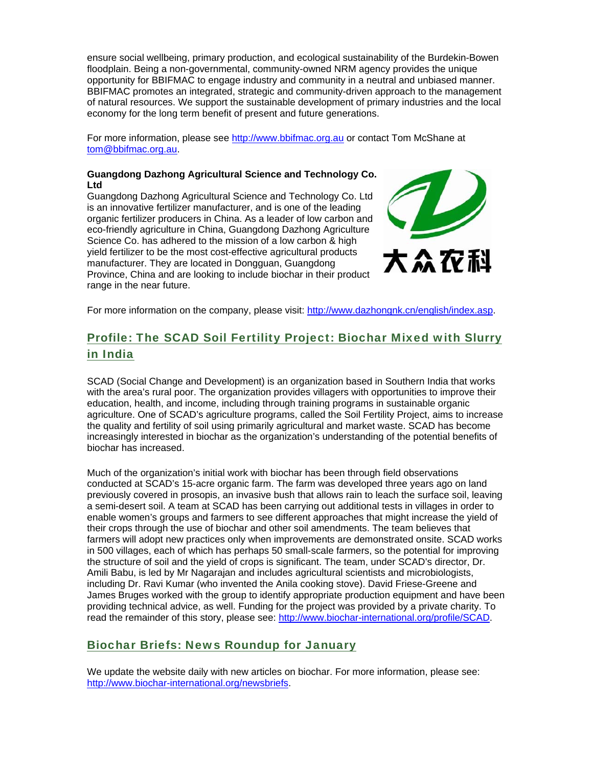ensure social wellbeing, primary production, and ecological sustainability of the Burdekin-Bowen floodplain. Being a non-governmental, community-owned NRM agency provides the unique opportunity for BBIFMAC to engage industry and community in a neutral and unbiased manner. BBIFMAC promotes an integrated, strategic and community-driven approach to the management of natural resources. We support the sustainable development of primary industries and the local economy for the long term benefit of present and future generations.

For more information, please see http://www.bbifmac.org.au or contact Tom McShane at tom@bbifmac.org.au.

#### **Guangdong Dazhong Agricultural Science and Technology Co. Ltd**

Guangdong Dazhong Agricultural Science and Technology Co. Ltd is an innovative fertilizer manufacturer, and is one of the leading organic fertilizer producers in China. As a leader of low carbon and eco-friendly agriculture in China, Guangdong Dazhong Agriculture Science Co. has adhered to the mission of a low carbon & high yield fertilizer to be the most cost-effective agricultural products manufacturer. They are located in Dongguan, Guangdong Province, China and are looking to include biochar in their product range in the near future.



For more information on the company, please visit: http://www.dazhongnk.cn/english/index.asp.

# Profile: The SCAD Soil Fertility Project: Biochar Mixed with Slurry in India

SCAD (Social Change and Development) is an organization based in Southern India that works with the area's rural poor. The organization provides villagers with opportunities to improve their education, health, and income, including through training programs in sustainable organic agriculture. One of SCAD's agriculture programs, called the Soil Fertility Project, aims to increase the quality and fertility of soil using primarily agricultural and market waste. SCAD has become increasingly interested in biochar as the organization's understanding of the potential benefits of biochar has increased.

Much of the organization's initial work with biochar has been through field observations conducted at SCAD's 15-acre organic farm. The farm was developed three years ago on land previously covered in prosopis, an invasive bush that allows rain to leach the surface soil, leaving a semi-desert soil. A team at SCAD has been carrying out additional tests in villages in order to enable women's groups and farmers to see different approaches that might increase the yield of their crops through the use of biochar and other soil amendments. The team believes that farmers will adopt new practices only when improvements are demonstrated onsite. SCAD works in 500 villages, each of which has perhaps 50 small-scale farmers, so the potential for improving the structure of soil and the yield of crops is significant. The team, under SCAD's director, Dr. Amili Babu, is led by Mr Nagarajan and includes agricultural scientists and microbiologists, including Dr. Ravi Kumar (who invented the Anila cooking stove). David Friese-Greene and James Bruges worked with the group to identify appropriate production equipment and have been providing technical advice, as well. Funding for the project was provided by a private charity. To read the remainder of this story, please see: http://www.biochar-international.org/profile/SCAD.

### Biochar Briefs: News Roundup for January

We update the website daily with new articles on biochar. For more information, please see: http://www.biochar-international.org/newsbriefs.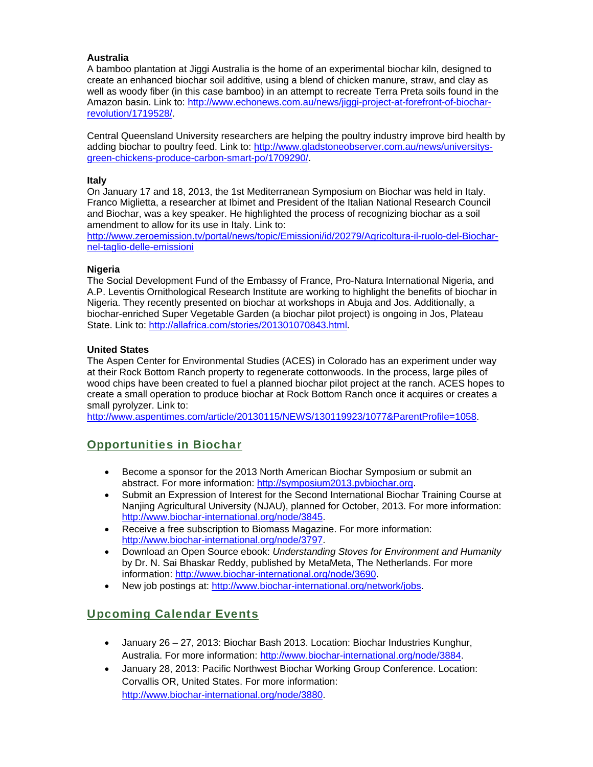#### **Australia**

A bamboo plantation at Jiggi Australia is the home of an experimental biochar kiln, designed to create an enhanced biochar soil additive, using a blend of chicken manure, straw, and clay as well as woody fiber (in this case bamboo) in an attempt to recreate Terra Preta soils found in the Amazon basin. Link to: http://www.echonews.com.au/news/jiggi-project-at-forefront-of-biocharrevolution/1719528/.

Central Queensland University researchers are helping the poultry industry improve bird health by adding biochar to poultry feed. Link to: http://www.gladstoneobserver.com.au/news/universitysgreen-chickens-produce-carbon-smart-po/1709290/.

#### **Italy**

On January 17 and 18, 2013, the 1st Mediterranean Symposium on Biochar was held in Italy. Franco Miglietta, a researcher at Ibimet and President of the Italian National Research Council and Biochar, was a key speaker. He highlighted the process of recognizing biochar as a soil amendment to allow for its use in Italy. Link to:

http://www.zeroemission.tv/portal/news/topic/Emissioni/id/20279/Agricoltura-il-ruolo-del-Biocharnel-taglio-delle-emissioni

#### **Nigeria**

The Social Development Fund of the Embassy of France, Pro-Natura International Nigeria, and A.P. Leventis Ornithological Research Institute are working to highlight the benefits of biochar in Nigeria. They recently presented on biochar at workshops in Abuja and Jos. Additionally, a biochar-enriched Super Vegetable Garden (a biochar pilot project) is ongoing in Jos, Plateau State. Link to: http://allafrica.com/stories/201301070843.html.

#### **United States**

The Aspen Center for Environmental Studies (ACES) in Colorado has an experiment under way at their Rock Bottom Ranch property to regenerate cottonwoods. In the process, large piles of wood chips have been created to fuel a planned biochar pilot project at the ranch. ACES hopes to create a small operation to produce biochar at Rock Bottom Ranch once it acquires or creates a small pyrolyzer. Link to:

http://www.aspentimes.com/article/20130115/NEWS/130119923/1077&ParentProfile=1058.

### Opportunities in Biochar

- Become a sponsor for the 2013 North American Biochar Symposium or submit an abstract. For more information: http://symposium2013.pvbiochar.org.
- Submit an Expression of Interest for the Second International Biochar Training Course at Nanjing Agricultural University (NJAU), planned for October, 2013. For more information: http://www.biochar-international.org/node/3845.
- Receive a free subscription to Biomass Magazine. For more information: http://www.biochar-international.org/node/3797.
- Download an Open Source ebook: *Understanding Stoves for Environment and Humanity* by Dr. N. Sai Bhaskar Reddy, published by MetaMeta, The Netherlands. For more information: http://www.biochar-international.org/node/3690.
- New job postings at: http://www.biochar-international.org/network/jobs.

### Upcoming Calendar Events

- January 26 27, 2013: Biochar Bash 2013. Location: Biochar Industries Kunghur, Australia. For more information: http://www.biochar-international.org/node/3884.
- January 28, 2013: Pacific Northwest Biochar Working Group Conference. Location: Corvallis OR, United States. For more information: http://www.biochar-international.org/node/3880.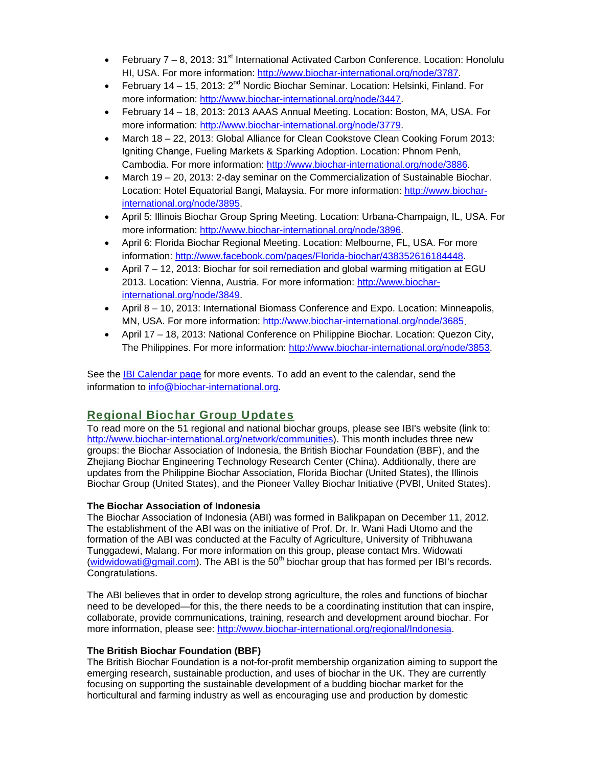- February  $7 8$ , 2013: 31<sup>st</sup> International Activated Carbon Conference. Location: Honolulu HI, USA. For more information: http://www.biochar-international.org/node/3787.
- February 14 15, 2013:  $2^{nd}$  Nordic Biochar Seminar. Location: Helsinki, Finland. For more information: http://www.biochar-international.org/node/3447.
- February 14 18, 2013: 2013 AAAS Annual Meeting. Location: Boston, MA, USA. For more information: http://www.biochar-international.org/node/3779.
- March 18 22, 2013: Global Alliance for Clean Cookstove Clean Cooking Forum 2013: Igniting Change, Fueling Markets & Sparking Adoption. Location: Phnom Penh, Cambodia. For more information: http://www.biochar-international.org/node/3886.
- March 19 20, 2013: 2-day seminar on the Commercialization of Sustainable Biochar. Location: Hotel Equatorial Bangi, Malaysia. For more information: http://www.biocharinternational.org/node/3895.
- April 5: Illinois Biochar Group Spring Meeting. Location: Urbana-Champaign, IL, USA. For more information: http://www.biochar-international.org/node/3896.
- April 6: Florida Biochar Regional Meeting. Location: Melbourne, FL, USA. For more information: http://www.facebook.com/pages/Florida-biochar/438352616184448.
- April 7 12, 2013: Biochar for soil remediation and global warming mitigation at EGU 2013. Location: Vienna, Austria. For more information: http://www.biocharinternational.org/node/3849.
- April 8 10, 2013: International Biomass Conference and Expo. Location: Minneapolis, MN, USA. For more information: http://www.biochar-international.org/node/3685.
- April 17 18, 2013: National Conference on Philippine Biochar. Location: Quezon City, The Philippines. For more information: http://www.biochar-international.org/node/3853.

See the IBI Calendar page for more events. To add an event to the calendar, send the information to info@biochar-international.org.

# Regional Biochar Group Updates

To read more on the 51 regional and national biochar groups, please see IBI's website (link to: http://www.biochar-international.org/network/communities). This month includes three new groups: the Biochar Association of Indonesia, the British Biochar Foundation (BBF), and the Zhejiang Biochar Engineering Technology Research Center (China). Additionally, there are updates from the Philippine Biochar Association, Florida Biochar (United States), the Illinois Biochar Group (United States), and the Pioneer Valley Biochar Initiative (PVBI, United States).

#### **The Biochar Association of Indonesia**

The Biochar Association of Indonesia (ABI) was formed in Balikpapan on December 11, 2012. The establishment of the ABI was on the initiative of Prof. Dr. Ir. Wani Hadi Utomo and the formation of the ABI was conducted at the Faculty of Agriculture, University of Tribhuwana Tunggadewi, Malang. For more information on this group, please contact Mrs. Widowati (widwidowati@gmail.com). The ABI is the 50<sup>th</sup> biochar group that has formed per IBI's records. Congratulations.

The ABI believes that in order to develop strong agriculture, the roles and functions of biochar need to be developed—for this, the there needs to be a coordinating institution that can inspire, collaborate, provide communications, training, research and development around biochar. For more information, please see: http://www.biochar-international.org/regional/Indonesia.

#### **The British Biochar Foundation (BBF)**

The British Biochar Foundation is a not-for-profit membership organization aiming to support the emerging research, sustainable production, and uses of biochar in the UK. They are currently focusing on supporting the sustainable development of a budding biochar market for the horticultural and farming industry as well as encouraging use and production by domestic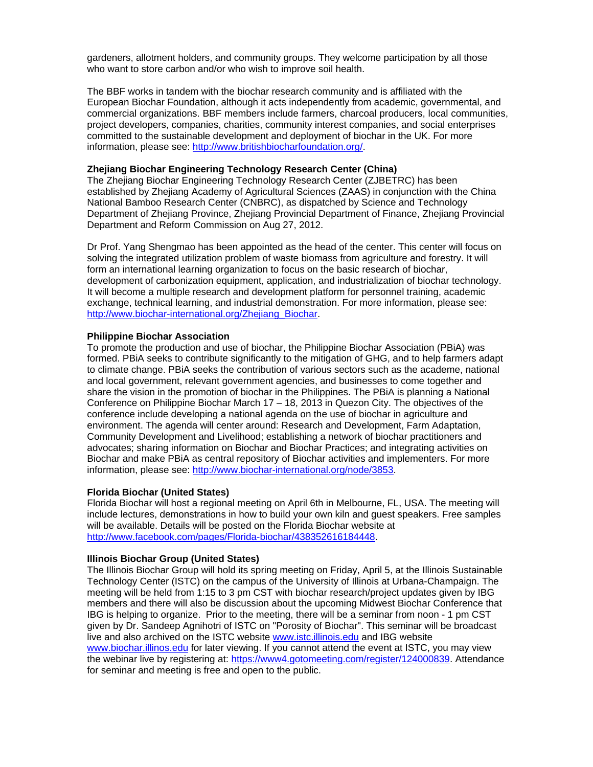gardeners, allotment holders, and community groups. They welcome participation by all those who want to store carbon and/or who wish to improve soil health.

The BBF works in tandem with the biochar research community and is affiliated with the European Biochar Foundation, although it acts independently from academic, governmental, and commercial organizations. BBF members include farmers, charcoal producers, local communities, project developers, companies, charities, community interest companies, and social enterprises committed to the sustainable development and deployment of biochar in the UK. For more information, please see: http://www.britishbiocharfoundation.org/.

#### **Zhejiang Biochar Engineering Technology Research Center (China)**

The Zhejiang Biochar Engineering Technology Research Center (ZJBETRC) has been established by Zhejiang Academy of Agricultural Sciences (ZAAS) in conjunction with the China National Bamboo Research Center (CNBRC), as dispatched by Science and Technology Department of Zhejiang Province, Zhejiang Provincial Department of Finance, Zhejiang Provincial Department and Reform Commission on Aug 27, 2012.

Dr Prof. Yang Shengmao has been appointed as the head of the center. This center will focus on solving the integrated utilization problem of waste biomass from agriculture and forestry. It will form an international learning organization to focus on the basic research of biochar, development of carbonization equipment, application, and industrialization of biochar technology. It will become a multiple research and development platform for personnel training, academic exchange, technical learning, and industrial demonstration. For more information, please see: http://www.biochar-international.org/Zhejiang\_Biochar.

#### **Philippine Biochar Association**

To promote the production and use of biochar, the Philippine Biochar Association (PBiA) was formed. PBiA seeks to contribute significantly to the mitigation of GHG, and to help farmers adapt to climate change. PBiA seeks the contribution of various sectors such as the academe, national and local government, relevant government agencies, and businesses to come together and share the vision in the promotion of biochar in the Philippines. The PBiA is planning a National Conference on Philippine Biochar March 17 – 18, 2013 in Quezon City. The objectives of the conference include developing a national agenda on the use of biochar in agriculture and environment. The agenda will center around: Research and Development, Farm Adaptation, Community Development and Livelihood; establishing a network of biochar practitioners and advocates; sharing information on Biochar and Biochar Practices; and integrating activities on Biochar and make PBiA as central repository of Biochar activities and implementers. For more information, please see: http://www.biochar-international.org/node/3853.

#### **Florida Biochar (United States)**

Florida Biochar will host a regional meeting on April 6th in Melbourne, FL, USA. The meeting will include lectures, demonstrations in how to build your own kiln and guest speakers. Free samples will be available. Details will be posted on the Florida Biochar website at http://www.facebook.com/pages/Florida-biochar/438352616184448.

#### **Illinois Biochar Group (United States)**

The Illinois Biochar Group will hold its spring meeting on Friday, April 5, at the Illinois Sustainable Technology Center (ISTC) on the campus of the University of Illinois at Urbana-Champaign. The meeting will be held from 1:15 to 3 pm CST with biochar research/project updates given by IBG members and there will also be discussion about the upcoming Midwest Biochar Conference that IBG is helping to organize. Prior to the meeting, there will be a seminar from noon - 1 pm CST given by Dr. Sandeep Agnihotri of ISTC on "Porosity of Biochar". This seminar will be broadcast live and also archived on the ISTC website www.istc.illinois.edu and IBG website www.biochar.illinos.edu for later viewing. If you cannot attend the event at ISTC, you may view the webinar live by registering at: https://www4.gotomeeting.com/register/124000839. Attendance for seminar and meeting is free and open to the public.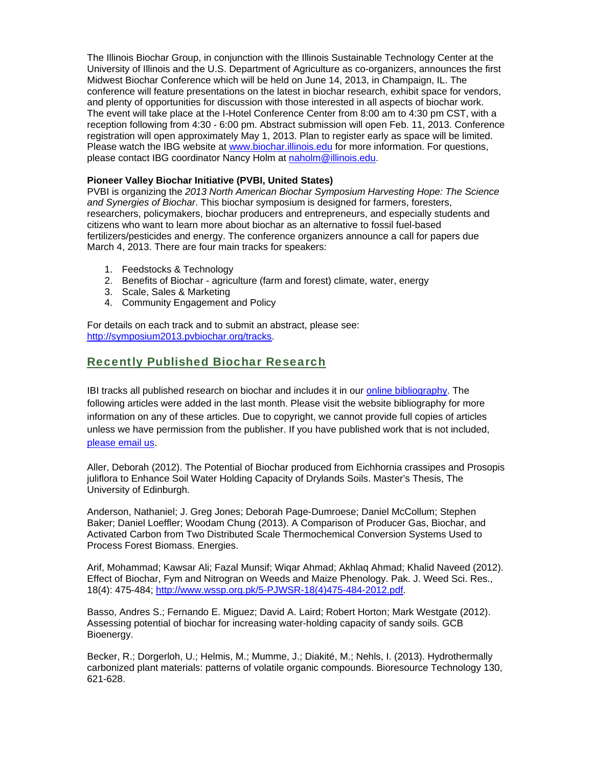The Illinois Biochar Group, in conjunction with the Illinois Sustainable Technology Center at the University of Illinois and the U.S. Department of Agriculture as co-organizers, announces the first Midwest Biochar Conference which will be held on June 14, 2013, in Champaign, IL. The conference will feature presentations on the latest in biochar research, exhibit space for vendors, and plenty of opportunities for discussion with those interested in all aspects of biochar work. The event will take place at the I-Hotel Conference Center from 8:00 am to 4:30 pm CST, with a reception following from 4:30 - 6:00 pm. Abstract submission will open Feb. 11, 2013. Conference registration will open approximately May 1, 2013. Plan to register early as space will be limited. Please watch the IBG website at www.biochar.illinois.edu for more information. For questions, please contact IBG coordinator Nancy Holm at naholm@illinois.edu.

#### **Pioneer Valley Biochar Initiative (PVBI, United States)**

PVBI is organizing the *2013 North American Biochar Symposium Harvesting Hope: The Science and Synergies of Biochar*. This biochar symposium is designed for farmers, foresters, researchers, policymakers, biochar producers and entrepreneurs, and especially students and citizens who want to learn more about biochar as an alternative to fossil fuel-based fertilizers/pesticides and energy. The conference organizers announce a call for papers due March 4, 2013. There are four main tracks for speakers:

- 1. Feedstocks & Technology
- 2. Benefits of Biochar agriculture (farm and forest) climate, water, energy
- 3. Scale, Sales & Marketing
- 4. Community Engagement and Policy

For details on each track and to submit an abstract, please see: http://symposium2013.pvbiochar.org/tracks.

### Recently Published Biochar Research

IBI tracks all published research on biochar and includes it in our online bibliography. The following articles were added in the last month. Please visit the website bibliography for more information on any of these articles. Due to copyright, we cannot provide full copies of articles unless we have permission from the publisher. If you have published work that is not included, please email us.

Aller, Deborah (2012). The Potential of Biochar produced from Eichhornia crassipes and Prosopis juliflora to Enhance Soil Water Holding Capacity of Drylands Soils. Master's Thesis, The University of Edinburgh.

Anderson, Nathaniel; J. Greg Jones; Deborah Page-Dumroese; Daniel McCollum; Stephen Baker; Daniel Loeffler; Woodam Chung (2013). A Comparison of Producer Gas, Biochar, and Activated Carbon from Two Distributed Scale Thermochemical Conversion Systems Used to Process Forest Biomass. Energies.

Arif, Mohammad; Kawsar Ali; Fazal Munsif; Wiqar Ahmad; Akhlaq Ahmad; Khalid Naveed (2012). Effect of Biochar, Fym and Nitrogran on Weeds and Maize Phenology. Pak. J. Weed Sci. Res., 18(4): 475-484; http://www.wssp.org.pk/5-PJWSR-18(4)475-484-2012.pdf.

Basso, Andres S.; Fernando E. Miguez; David A. Laird; Robert Horton; Mark Westgate (2012). Assessing potential of biochar for increasing water-holding capacity of sandy soils. GCB Bioenergy.

Becker, R.; Dorgerloh, U.; Helmis, M.; Mumme, J.; Diakité, M.; Nehls, I. (2013). Hydrothermally carbonized plant materials: patterns of volatile organic compounds. Bioresource Technology 130, 621-628.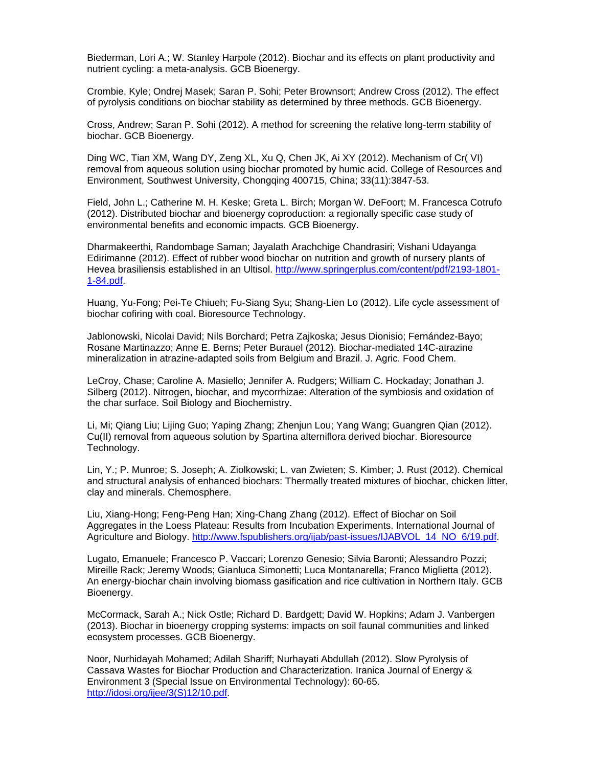Biederman, Lori A.; W. Stanley Harpole (2012). Biochar and its effects on plant productivity and nutrient cycling: a meta-analysis. GCB Bioenergy.

Crombie, Kyle; Ondrej Masek; Saran P. Sohi; Peter Brownsort; Andrew Cross (2012). The effect of pyrolysis conditions on biochar stability as determined by three methods. GCB Bioenergy.

Cross, Andrew; Saran P. Sohi (2012). A method for screening the relative long-term stability of biochar. GCB Bioenergy.

Ding WC, Tian XM, Wang DY, Zeng XL, Xu Q, Chen JK, Ai XY (2012). Mechanism of Cr( VI) removal from aqueous solution using biochar promoted by humic acid. College of Resources and Environment, Southwest University, Chongqing 400715, China; 33(11):3847-53.

Field, John L.; Catherine M. H. Keske; Greta L. Birch; Morgan W. DeFoort; M. Francesca Cotrufo (2012). Distributed biochar and bioenergy coproduction: a regionally specific case study of environmental benefits and economic impacts. GCB Bioenergy.

Dharmakeerthi, Randombage Saman; Jayalath Arachchige Chandrasiri; Vishani Udayanga Edirimanne (2012). Effect of rubber wood biochar on nutrition and growth of nursery plants of Hevea brasiliensis established in an Ultisol. http://www.springerplus.com/content/pdf/2193-1801- 1-84.pdf.

Huang, Yu-Fong; Pei-Te Chiueh; Fu-Siang Syu; Shang-Lien Lo (2012). Life cycle assessment of biochar cofiring with coal. Bioresource Technology.

Jablonowski, Nicolai David; Nils Borchard; Petra Zajkoska; Jesus Dionisio; Fernández-Bayo; Rosane Martinazzo; Anne E. Berns; Peter Burauel (2012). Biochar-mediated 14C-atrazine mineralization in atrazine-adapted soils from Belgium and Brazil. J. Agric. Food Chem.

LeCroy, Chase; Caroline A. Masiello; Jennifer A. Rudgers; William C. Hockaday; Jonathan J. Silberg (2012). Nitrogen, biochar, and mycorrhizae: Alteration of the symbiosis and oxidation of the char surface. Soil Biology and Biochemistry.

Li, Mi; Qiang Liu; Lijing Guo; Yaping Zhang; Zhenjun Lou; Yang Wang; Guangren Qian (2012). Cu(II) removal from aqueous solution by Spartina alterniflora derived biochar. Bioresource Technology.

Lin, Y.; P. Munroe; S. Joseph; A. Ziolkowski; L. van Zwieten; S. Kimber; J. Rust (2012). Chemical and structural analysis of enhanced biochars: Thermally treated mixtures of biochar, chicken litter, clay and minerals. Chemosphere.

Liu, Xiang-Hong; Feng-Peng Han; Xing-Chang Zhang (2012). Effect of Biochar on Soil Aggregates in the Loess Plateau: Results from Incubation Experiments. International Journal of Agriculture and Biology. http://www.fspublishers.org/ijab/past-issues/IJABVOL\_14\_NO\_6/19.pdf.

Lugato, Emanuele; Francesco P. Vaccari; Lorenzo Genesio; Silvia Baronti; Alessandro Pozzi; Mireille Rack; Jeremy Woods; Gianluca Simonetti; Luca Montanarella; Franco Miglietta (2012). An energy-biochar chain involving biomass gasification and rice cultivation in Northern Italy. GCB Bioenergy.

McCormack, Sarah A.; Nick Ostle; Richard D. Bardgett; David W. Hopkins; Adam J. Vanbergen (2013). Biochar in bioenergy cropping systems: impacts on soil faunal communities and linked ecosystem processes. GCB Bioenergy.

Noor, Nurhidayah Mohamed; Adilah Shariff; Nurhayati Abdullah (2012). Slow Pyrolysis of Cassava Wastes for Biochar Production and Characterization. Iranica Journal of Energy & Environment 3 (Special Issue on Environmental Technology): 60-65. http://idosi.org/ijee/3(S)12/10.pdf.